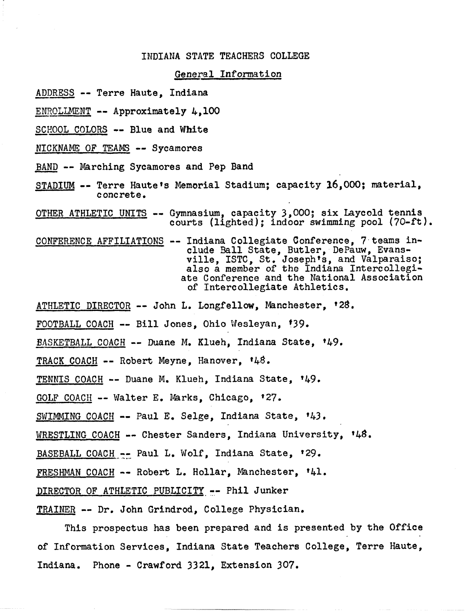# INDIANA STATE TEACHERS COLLEGE **A STATE TEACHERS COL<br>General Information<br>ndiana**

- ADDRESS -- Terre Haute, Indiana
- ENROLLMENT -- Approximately 4,100<br>SCHOOL COLORS -- Blue and White
- 
- NICKNAME OF TEAMS -- Sycamores
- 
- ENROLLMENT -- Approximately 4,100<br>SCHOOL COLORS -- Blue and White<br>NICKNAME OF TEAMS -- Sycamores<br>BAND -- Marching Sycamores and Pep Band<br>STADIUM -- Terre Haute's Memorial Stadium; capacity 16,000; material, concrete.
- OTHER ATHLETIC UNITS -- Gymnasium, capacity 3,000; six Laycold tennis courts (lighted); indoor swimming pool (70-ft).
- CONFERENCE AFFILIATIONS -- Indiana Collegiate Conference, **7** teams include Ball State, Butler, DePauw, Evansville, ISTC, St, Joseph's, and Valparaiso; **also** a member of the Indiana Intercollegiate Conference and the National Association of Intercollegiate Athletics.
- ATHLETIC DIRECTOR -- John L. Longfellow, Manchester, '28.
- FOOTBALL COACH -- Bill Jones, Ohio Wesleyan, f39.
- BASKETBALL COACH -- Duane **M, Klueh,** Indiana State, t49.
- TRACK COACH -- Robert Meyne, Hanover, t48.
- TENNIS COACH -- Duane M. Klueh, Indiana State, 149,
- GOLF COACH -- Walter E. Marks, Chicago, **427.**
- SWIMMING COACH -- Paul E. Selge, Indiana State, '43.
- WRESTLING COACH -- Chester Sanders, Indiana University, '48.
- BASEBALL COACH -- Paul L. Wolf, Indiana State, '29.
- FRESHMAN COACH -- Robert L. Hollar, Manchester, t41,
- DIRECTOR OF ATHLETIC PUBLICITY -- Phil Junker
- TRAINER -- Dr. John Grindrod, College Physician.

This prospectus has been prepared and is presented by the Office of Information Services, Indiana State Teachers College, Terre Haute, Indiana. Phone - Crawford 3321, Extension 307.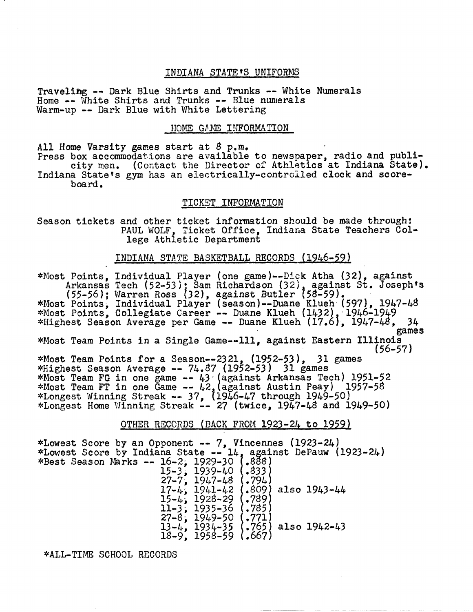## INDIANA STATE<sup>'S</sup> UNIFORMS

Traveling -- Dark Blue Shirts and Trunks -- White Numerals Home -- White Shirts and Trunks -- Blue numerals Warm-up -- Dark Blue with White Lettering

## HOME GAME INFORMATION

All Home Varsity games start at 8 p.m.<br>Press box accommodations are available to newspaper, radio and publi-<br>city men. (Contact the Director of Athletics at Indiana State).<br>Indiana State's gym has an electrically-controlle

board.

## TICKET INFORMATION

Season tickets and other ticket information should be made through:<br>PAUL WOLF. Ticket Office, Indiana State Teachers College Athletic Department

## INDIANA STATE BASKETBALL RECORDS (1946-59)

\*Most Points, Individual Player (one game)--Dick Atha (32), against<br>Arkansas Tech (52-53); Sam Richardson (32), against St. Joseph's<br>(55-56); Warren Ross (32), against Butler (58-59).<br>\*Most Points, Individual Player (seaso \*Most Points, Individual Player (season)--Duane Klueh (1432), 1946-1949 \*MOSt Points, Collegiate Career -- Duane Kluen (1432), 1940-1949<br>\*Highest Season Average per Game -- Duane Klueh (17.6), 1947-48, 34 games **\*Most** Team Points in a Single Game--111, against Eastern Illinois \*Most Team Points for a Season--2321, (1952-53), 31 games<br>\*Highest Season Average -- 74.87 (1952-53) 31 games \*Most Team FG in one game  $-43$  (against Arkansas Tech) 1951-58<br>\*Most Team FT in one Game  $-42$ , (against Austin Peay) 1957-58 \*Most leam fi in one came -- 42, (against Austin reay) 1997-98<br>\*Longest Winning Streak -- 37, (1946-47 through 1949-50)<br>\*Longest Home Winning Streak -- 27 (twice, 1947-48 and 1949-50)

## OTHER RECCRDS (BACK FROM 1923-24 to 1959)

\*Lowest Score by an Opponent -- 7, Vincennes (1923-24)<br>\*Lowest Score by Indiana State -- 14, against DePauw (1923-24)<br>\*Best Season Marks -- 16-2, 1929-30 (.888) \*Lowest Score by Indiana State -- 14<br>
\*Best Season Marks -- 16-2, 1929-30<br>
15-3, 1939-40<br>
27. 1917.19 15-3; 1939-40 (.333)<br>27-7, 1947-48 (.794)<br>17-4, 1941-42 (.809)  $\begin{array}{c} (-794) \\ (-809) \\ (-789) \end{array}$  also 1943-44 15-4; 1928-29 11-3; 1935-36 (.785) 27-8; 1949-50 13-4, 1934-35 (.765) also 1942-43 13-4, 1934-35<br>18-9, 1958-59

\*ALLTIME SCHOOL RECORDS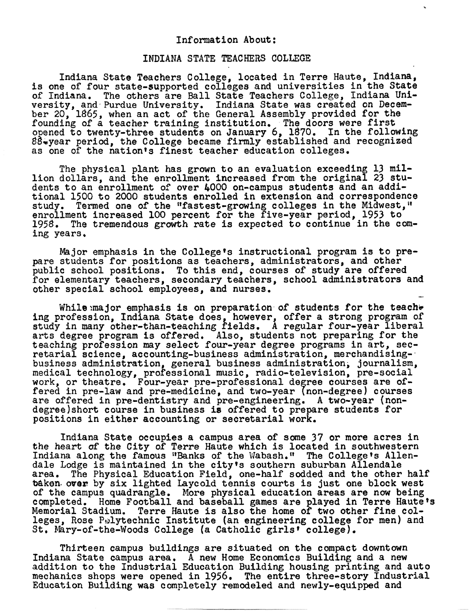#### Information About :

## INDIANA **STATE** TEACHERS **COLLEGE**

Indiana State Teachers College, located in Terre Haute, Indiana, is one of four state-supported colleges and universities in the State of Indiana. The others are Ball State Teachers College, Indiana University, and Purdue University. Indiana State was created on December 20, 1865, when an act of the General Assembly provided for the founding of a teacher training institution, The doors were first ournaling of a concrete students on January 6, 1870. In the following 88-year period, the College became firmly established and recognized as one of the nation's finest teacher education colleges.

The physical plant has grown to an evaluation exceeding 13 million dollars, and the enrollment increased from the original 23 students to an enrollment of over 4000 on-campus students and an addi-<br>tional 1500 to 2000 students enrolled in extension and correspondence study. Termed one of the "fastest-growing colleges in the Midwest," enrollment increased 100 percent for the five-year period, 1953 to 1958. The tremendous growth rate is expected to continue in the coming years,

Major emphasis in the College's instructional program is to prepare students for positions as teachers, administrators, and other public school positions, To this end, courses of study are offered for elementary teachers, secondary teachers, school administrators and other special school employees, and nurses, -

While: major emphasis is on preparation of students for the teacher ing profession, Indiana State does, however, offer a strong program of study in many other-than-teaching fields. A regular four-year liberal arts degree program is offered. Also, students not preparing for the teaching profession may select four-year degree programs in art, sec-<br>retarial science, accounting-business administration, merchandisingretarial science, accounting-business administration, merchandising-<br>business administration, general business administration, journalism,<br>medical technology, professional music, radio-television, pre-social<br>work, or theat medical dechnology, professional music, radio-defevision, pre-social<br>work, or theatre. Four-year pre-professional degree courses are of-<br>fered in pre-law and pre-medicine, and two-year (non-degree) courses fered in pre-law and pre-medicine, and two-year (non-degree) courses<br>are offered in pre-dentistry and pre-engineering. A two-year (nondegreelshort course in business is offered to prepare students for positions in either accounting or secretarial work,

Indiana State occupies a campus area of some 37 or more acres in the heart of the City of Terre Haute which is located in southwestern Indiana along the famous "Banks of the Wabash." The College's Allendale Lodge is maintained in the city's southern suburban Allendale area, The Physical Education Field, one-half sodded and the other half baken over by six lighted Laycold tennis courts is just one block west of the campus quadrangle, More physical education areas are now being completed. Home Football and baseball games are played in Terre Hautets Memorial Stadium. Terre Haute is also the home of two other fine colleges, Rose Polytechnic Institute (an engineering college for men) and St. Mary-of-the-Woods College (a Catholic girls' college).

Thirteen campus buildings are situated on the compact downtown Indiana State campus area. A new Home Economics Building and a new addition to the Industrial Education Building housing printing and auto mechanics shops were opened in l956, The entire three-story Industrial Education Building was completely remodeled and newly-equipped and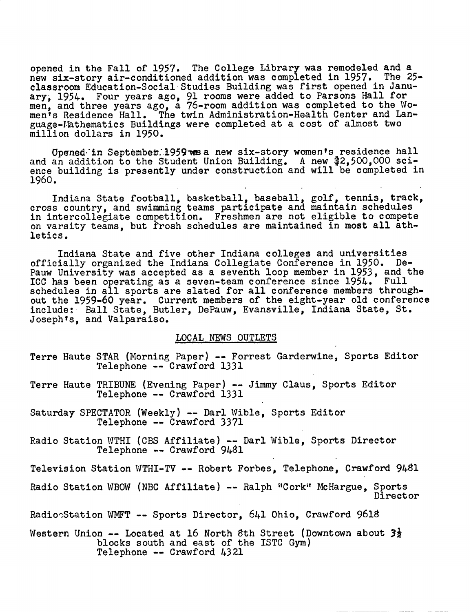opened in the Fall of 1957. The College Library was remodeled and a new six-story air-conditioned addition was completed in 1957. The 25 classroom Education-Social Studies Building was first opened in January; 1954. Four years ago, **91** rooms were added to Parsons Hall for men, and three years ago, a 76-room addition was completed to the Women's Residence Hall. The twin Administration-Health Center and Language-Mathematics Buildings were completed at a cost of almost two million dollars in 1950.

Opened in September.1959 was a new six-story women's residence hall and an addition to the Student Union Building. A new \$2,500,000 science building is presently under construction and will be completed in 1960.

Indiana State football, basketball, baseball, golf, tennis, track, cross country, and swimming teams participate and maintain schedules in intercollegiate competition. Freshmen are not eligible to compete on varsity teams, but frosh schedules are maintained in most all athletics.

Indiana State and five other Indiana colleges and universities officially organized the Indiana Collegiate Conference in 1950. De-Pauw University was accepted as a seventh loop member in 1953, and the ICC has been operating as a seven-team conference since 1954. Full schedules in all sports are slated for all conference members throughout the 1959-60 year. Current members of the eight-year old conference include: - Ball State, Butler, DePauw, Evansville, Indiana State, St. Josephts, and Valparaiso.

#### LOCAL NEW3 OUTLETS

- Terre Haute STAR (Morning Paper) -- Forrest Garderwine, Sports Editor Telephone -- Crawford 1331
- Terre Haute TRIBUNE (Evening Paper) -- Jimmy Claus, Sports Editor Telephone -- Crawford 1331
- Saturday SPECTATOR (Weekly) -- Darl Wible, Sports Editor Telephone -- Crawford 3371
- Radio Station WTHI (CBS Affiliate) -- Darl Wible, Sports Director Telephone -- Crawford 9481

Television Station WTHI-TV -- Robert Forbes, Telephone, Crawford 9481

Radio Station WBOW (NBC Affiliate) -- Ralph "Cork" McHargue, Sports Direct or

RadionStation WMFT -- Sports Director, 641 Ohio, Crawford 9618

Western Union -- Located at 16 North 8th Street (Downtown about **34**  blocks south and east of the ISTC **Gym)**  Telephone -- Crawford 4321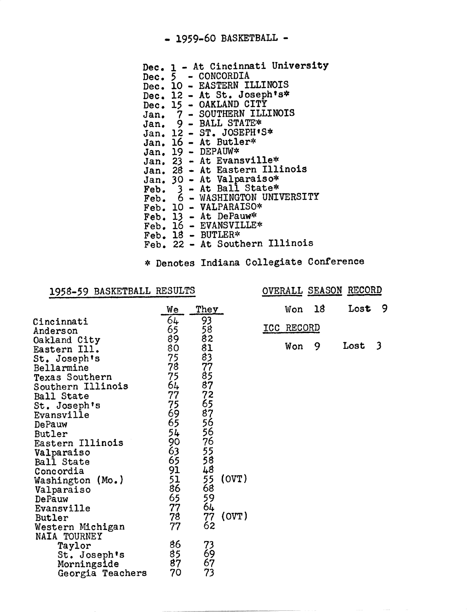## - **1959-60** BASKETBALL -

|  | Dec. 1 - At Cincinnati University                                                     |
|--|---------------------------------------------------------------------------------------|
|  | Dec. 5 - CONCORDIA                                                                    |
|  | Dec. 10 - EASTERN ILLINOIS                                                            |
|  | Dec. 12 - At St. Joseph's*                                                            |
|  | Dec. 15 - OAKLAND CITY                                                                |
|  | Jan. 7 - SOUTHERN ILLINOIS                                                            |
|  | Jan. 9 - BALL STATE*                                                                  |
|  | Jan. 12 - ST. JOSEPH'S*                                                               |
|  | Jan. 16 - At Butler*                                                                  |
|  | Jan. $19$ - DEPAUW*                                                                   |
|  | Jan. 23 - At Evansville*                                                              |
|  | Jan. 28 - At Eastern Illinois                                                         |
|  | Jan. 30 - At Valparaiso*<br>Feb. 3 - At Ball State*<br>Feb. 6 - WASHINGTON UNIVERSITY |
|  |                                                                                       |
|  |                                                                                       |
|  | Feb. 10 - VALPARAISO*                                                                 |
|  | Feb. 13 - At DePauw*                                                                  |
|  | Feb. 16 - EVANSVILLE*                                                                 |
|  | Feb. $18$ - BUTLER*                                                                   |
|  | Feb. 22 - At Southern Illinois                                                        |
|  |                                                                                       |

# 1958-59 BASKETBALL RESULTS OVERALL SEASON RECORD

|                                     | * Denotes Indiana Collegiate Conference |                 |       |            |    |                              |                         |
|-------------------------------------|-----------------------------------------|-----------------|-------|------------|----|------------------------------|-------------------------|
| 1958-59 BASKETBALL RESULTS          |                                         |                 |       |            |    | <b>OVERALL SEASON RECORD</b> |                         |
|                                     | We                                      | They            |       | Won        | 18 | Lost                         | 9                       |
| Cincinnati<br>Anderson              | 64<br>65                                | 93              |       | ICC RECORD |    |                              |                         |
| Oakland City                        | 89                                      | $\frac{58}{82}$ |       | Won        | 9  | Lost                         | $\overline{\mathbf{3}}$ |
| Eastern Ill.<br>St. Joseph's        | 80<br>75                                | 81<br>83        |       |            |    |                              |                         |
| Bellarmine                          | 78<br>75                                | $\frac{77}{85}$ |       |            |    |                              |                         |
| Texas Southern<br>Southern Illinois | 64                                      | 87              |       |            |    |                              |                         |
| Ball State<br>St. Joseph's          | 77<br>75                                |                 |       |            |    |                              |                         |
| Evansville                          | 69                                      |                 |       |            |    |                              |                         |
| DePauw<br>Butler                    | 65<br>54                                |                 |       |            |    |                              |                         |
| Eastern Illinois<br>Valparaiso      | 90                                      | 7685575588      |       |            |    |                              |                         |
| Ball State                          | $63$<br>$65$                            |                 |       |            |    |                              |                         |
| Concordia<br>Washington (Mo.)       | 91                                      | $\frac{55}{68}$ | (0VT) |            |    |                              |                         |
| Valparaiso<br>DePauw                | $\frac{51}{86}$<br>65                   | 59              |       |            |    |                              |                         |
| Evansville                          | 77                                      | 64              |       |            |    |                              |                         |
| Butler<br>Western Michigan          | 78<br>77                                | 77<br>62        | (0VT) |            |    |                              |                         |
| NAIA TOURNEY                        |                                         |                 |       |            |    |                              |                         |
| Taylor<br>St. Joseph's              | 86<br>85                                | 73<br>69        |       |            |    |                              |                         |
| Morningside<br>Georgia Teachers     | 87<br>70                                | 67<br>73        |       |            |    |                              |                         |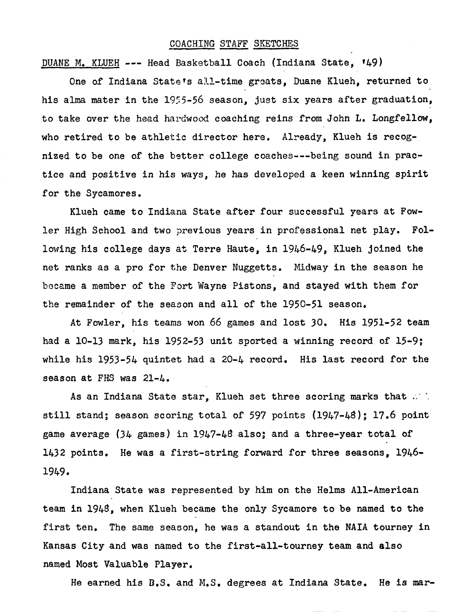## **COACHING STAFF SKETCHES**

DUANE **M,** KLUEH --- Head Basketball Coach (Indiana State, f49)

One of Indiana State's all-time greats, Duane Klueh, returned to his alma mater in the 1955-56 season, just six years after graduation, to take over the head hardwood coaching reins from John L. Longfellow, who retired to be athletic director here, Already, Klueh is recognized to be one of the bstter college coaches---being sound **in** practice and positive in his ways, **he has** developed a keen winning spirit for the Sycamores,

Klueh came to Indiana State after four successful years at Fowler High School and two previous years in professional net play. Following his college days at Terre Haute, in 1946-49, Klueh joined the net ranks as a pro for the Denver Nuggetts, Midway in the season he became a member of the Fort Wayne Pistons, and stayed with them for the remainder of the season and all of the 1950-51 season,

At Fowler, **his** teams won.66 games and lost 30, His 1951-52 team had a 10-13 mark, his 1952-53 unit sported a winning record of 15-9; while his 1953-54 quintet had a 20-4 record, His last record for the season at FHS was 21-4,

As an Indiana State star, Klueh set three scoring marks that  $\mathbb{R}^+$ . still stand; season scoring total of 597 points (1947-48); 17,6 point game average **(34** games) in 1947-48 also; and a three-year total of 1432 points. He was a first-string forward for three seasons, 1946-1949.

Indiana State was represented by him on the Helms All-American team in 1948, when Klueh became the only Sycamore to be named to the first ten, The same season, he was a standout in the **NAIA** tourney in Kansas City and was named to the first-all-tourney team and also named Most Valuable Player,

He earned his **D,S, and M.S.** degrees at fndiana State, He is mar-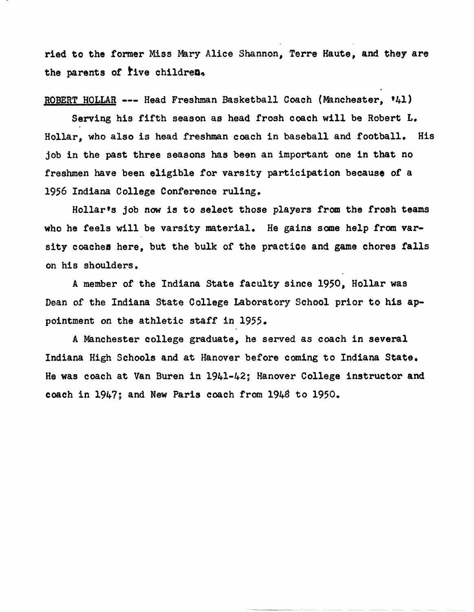ried to the former Miss Mary Alice Shannon, Terre Haute, and they are the parents of *five* children.

**ROBERT HOLLAR --- Head Freshman Basketball Coach (Manchester, '41)** 

Serving his fifth season as head frosh coach will be Robert **L.**  Hollar, who **also** is head freshman coach in baseball and football, **His job** in the past three seasons **has** been an important one in **that** no freshmen have **been** eligible for varsity participation because of a 1956 Indiana College Conference ruling.

Hollarts job now is to select **those** players from the frosh **teams**  who he feels will be varsity material. He gains some help from varsity coachea here, but the bulk of the practice and **game** chores falls on his shoulders.

**<sup>A</sup>**member of the Indiana State faculty since 1950, Hollar was **Dean** of the Indiana State College Laboratory School prior to his appointment on the athletic staff in 1955,

A Manchester college graduate, he **served** as **coach** in **several**  Indiana High Schools and at Hanover before coming to Indiana State. He was coach at Van Buren in 1941-42; Hanover College instructor and coach in **1947;** and **New** Paris coach **fram** 1948 to 1950.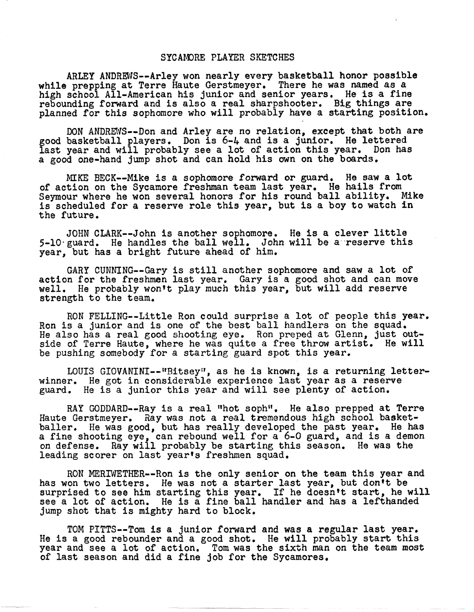## SYCAMORE PLAYER **SKETCHES**

ARLEY ANDREWS-Arley won nearly every basketball honor possible while prepping at Terre Haute Gerstmeyer, There he was named as a while prepping at ferre haute der some yer. There he was hamed as a fine high school All-American his junior and senior years. He is a fine rebounding forward and is also a real sharpshooter, Big things are planned for this sophomore who will probably have a starting position,

DON ANDREWS--Don and Arley are no relation, except that both are good basketball players, Don is 6-4 and is a junior. **He** lettered last year and will probably see a lot of action this year. Don has a good one-hand jump shot and can hold his own on the boards,

**MIKE BECK--Mike** is a sophomore forward or guard, He **saw** a lot of action on the Sycamore freshman team last year, He hails from Seymour where he won several honors for his round ball ability, **Mike**  is scheduled for a reserve role this year, but is a boy to watch **in**  the future,

JOHN CLARK--John is another sophomore. He is a clever little 5-10 guard. He handles the ball well. John will be a reserve this year, but has a bright future ahead of him,

GARY CUNNING--Gary is still another sophomore and saw a lot of action for the freshmen last year. Gary is a good shot and can move well. He **probably** wonft play much this year, but will add reserve strength to the team,

RON FELLING--Little Ron could surprise a lot of people this year.<br>Ron is a junior and is one of the best ball handlers on the squad.<br>He also has a real good shooting eye. Ron preped at Glenn, just outside of Terre Haute, where he was quite a free throw artist. He will be pushing somebody for a starting guard spot this year,

LOUIS GIOVANINI--"Bitsey", as he is known, is a returning letterwinner, He got in considerable experience last year as a reserve guard. He is a junior this year and will see plenty of action,

RAY GODDARD--Ray is a real "hot soph". He also prepped at Terre Haute Gerstmeyer. Ray was not a real tremendous high school basketballer. He was good, but has really developed the past year, He has a fine shooting eye, can rebound well for a 6-0 guard, and is a demon on defense, **Ray** will probably be starting this season, He was the leading scorer on last yearts freshmen squad,

RON mRIWETHER--Ron is the only senior on the team this year and has won two letters. He was not a starter last year, but don't be surprised to see him starting this year. If he doesn't start, he will see a lot of action. He is a fine ball handler and has a lefthanded jump shot that is mighty hard to block.

TOM PITTS-Tom is a junior forward and **was** a regular last year, He is a good rebounder and a good shot, He will probably start this year **and** see a lot of action, Tom was the sixth man on the team most of last season and did a fine job for the Sycamores,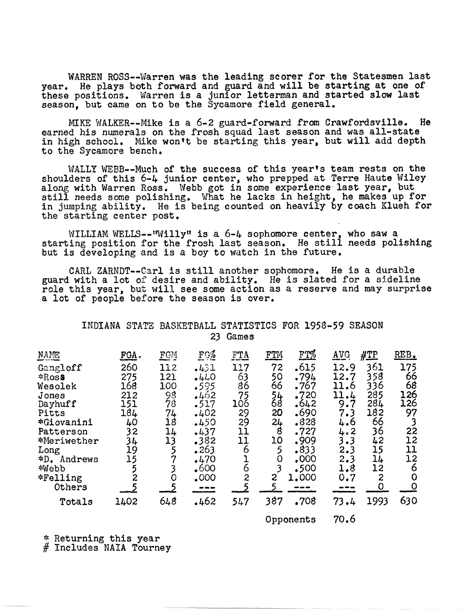WARREN ROSS--Warren was the leading scorer for the Statesmen last year. He plays both forward and guard and will be starting at one of these positions. Warren is a junior letterman and started slow last season, but came on to be the Sycamore field general.

MIKE WALKER--Mike is a 6-2 guard-forward from Crawfordsville. He earned his numerals on the frosh squad last season and was all-state in high school. Mike won't be starting this year, but will add depth to the Sycamore bench,

WALLY WEBB--Much of the success of this year's team rests on the shoulders of this 6-4 junior center, who prepped at Terre Haute Wiley along with Warren Ross. Webb got in some experience last year, but still needs some polishing, What he lacks in height, he makes up for in jumping ability. **He** is being counted on heavily by coach Klueh for the starting center post.

WILLIAM WELLS--"Willy" is a 6-4 sophomore center, who saw a starting position for the frosh last season. He still needs polishing but is developing and is a boy to watch in the future.

CARL ZARMDT-Carl is still another sophomore. He is a durable guard with a lot **02** desire and ability. He is slated for a sideline role this year, but will see some action as a reserve and **may** surprise a lot of people before the season is over.

## INDIANA STATZ BASKETBALL STATISTICS FOR 1958-59 SEASON 23 Games

|                                                                                                                                                                             | INDIANA |                                                                                                             |                                                                                                                        | 23                                                                                                                    | Games                                                                                                                   |                                                                                       | STATE BASKETBALL STATISTICS FOR 1958-59 SEASON                                                                         |                                                                                                            |                                                                                                                  |                                                                                                                                           |
|-----------------------------------------------------------------------------------------------------------------------------------------------------------------------------|---------|-------------------------------------------------------------------------------------------------------------|------------------------------------------------------------------------------------------------------------------------|-----------------------------------------------------------------------------------------------------------------------|-------------------------------------------------------------------------------------------------------------------------|---------------------------------------------------------------------------------------|------------------------------------------------------------------------------------------------------------------------|------------------------------------------------------------------------------------------------------------|------------------------------------------------------------------------------------------------------------------|-------------------------------------------------------------------------------------------------------------------------------------------|
| NAME<br>Gangloff<br>*Ross<br>Wesolek<br>Jones<br>Dayhuff<br>Pitts<br>*Giovanini<br>Patterson<br>*Meriwether<br>Long<br>*D. Andrews<br>*Webb<br>*Felling<br>Others<br>Totals |         | FGA.<br>260<br>275<br>168<br>212<br>151<br>184<br>40<br>32<br>34<br>19<br>15<br>5<br>$\overline{c}$<br>1402 | FCM<br>112<br>121<br>100<br>98<br>78<br>74<br>18<br>14<br>13<br>5<br>7<br>3<br>$\overline{O}$<br>$\overline{5}$<br>648 | FG%<br>.431<br>$-440$<br>.595<br>.462<br>.517<br>.402<br>.450<br>.437<br>.382<br>.263<br>.470<br>.600<br>.000<br>.462 | FTA<br>117<br>$\frac{63}{86}$<br>75<br>106<br>29<br>29<br>11<br>11<br>6<br>l<br>$\overline{6}$<br>$\overline{c}$<br>547 | FTM<br>72<br>50<br>66<br>$\frac{54}{68}$<br>20<br>24<br>8<br>10<br>5<br>0<br>2<br>387 | FT%<br>.615<br>.794<br>.767<br>.720<br>.642<br>.690<br>.828<br>.727<br>.909<br>$-833$<br>.000<br>.500<br>1.000<br>.708 | AVG<br>12.9<br>12.7<br>11.6<br>11.4<br>9.7<br>7.3<br>4.6<br>4.2<br>3.3<br>2.3<br>2.3<br>1.8<br>0.7<br>73.4 | $\#\mathbb{Z}^p$<br>361<br>358<br>336<br>285<br>284<br>182<br>66<br>36<br>42<br>15<br>14<br>12<br>2<br>0<br>1993 | REB.<br>175<br>66<br>68<br>126<br>126<br>97<br>$\mathbf{3}$<br>22<br>12<br>11<br>12<br>6<br>$\mathbf 0$<br>$\overline{\mathsf{O}}$<br>630 |
|                                                                                                                                                                             |         |                                                                                                             |                                                                                                                        |                                                                                                                       |                                                                                                                         |                                                                                       |                                                                                                                        | $\sim$ $\sim$                                                                                              |                                                                                                                  |                                                                                                                                           |

Opponents 70.6

\* Returning this year # Includes NAIA Tourney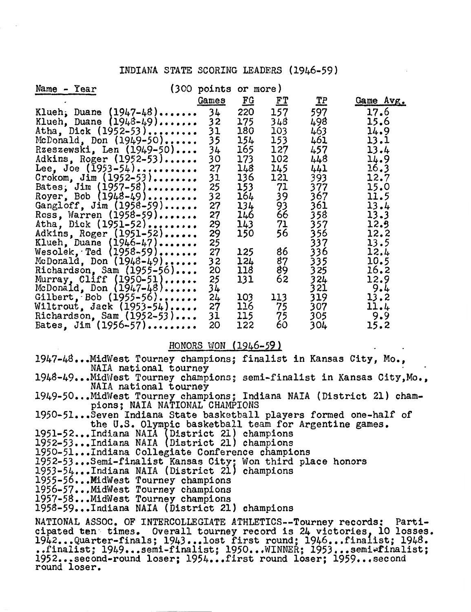## INDIANA STATE SCORING LEADERS (1946-59)

| INDIANA STATE SCORING LEADERS (1946-59)                                                                                                                                                                                                                                                                                                                                                                                                                                                                                                     |                                                                                                                                           |                                                                                                                                                 |                                                                                                                         |                                                                                                                                       |                                                                                                                                                           |
|---------------------------------------------------------------------------------------------------------------------------------------------------------------------------------------------------------------------------------------------------------------------------------------------------------------------------------------------------------------------------------------------------------------------------------------------------------------------------------------------------------------------------------------------|-------------------------------------------------------------------------------------------------------------------------------------------|-------------------------------------------------------------------------------------------------------------------------------------------------|-------------------------------------------------------------------------------------------------------------------------|---------------------------------------------------------------------------------------------------------------------------------------|-----------------------------------------------------------------------------------------------------------------------------------------------------------|
| Name - Year<br>Klueh, Duane $(1947-48)$<br>Klueh, Duane (1948-49)<br>Atha, Dick (1952-53)<br>McDonald, Don (1949-50)<br>Rzeszewski, Len (1949-50)<br>Adkins, Roger (1952-53)<br>Lee, Joe $(1953 - 54)$<br>Crokom, $\text{Jim} (1952-53) \dots \dots$<br>Bates, Jim (1957-58)<br>Royer, Bob (1948-49)<br>Gangloff, $\text{Jim}$ (1958-59)<br>Ross, Warren $(1958 - 59)$<br>Atha, Dick (1951-52)<br>Adkins, Roger (1951-52)<br>Klueh, Duane (1946-47)<br>Wesolek, Ted $(1958-59)$<br>McDonald, Don $(1948-49)$<br>Richardson, Sam $(1955-56)$ | (300 points or more)<br>Games<br>34<br>32<br>31<br>35<br>34<br>30<br>27<br>31<br>25<br>32<br>27<br>27<br>29<br>29<br>25<br>27<br>32<br>20 | $\underline{\mathbf{F}}$<br>220<br>175<br>180<br>154<br>165<br>173<br>148<br>136<br>153<br>164<br>134<br>146<br>143<br>150<br>125<br>124<br>118 | <u>FT</u><br>157<br>348<br>103<br>153<br>127<br>102<br>145<br>121<br>71<br>39<br>93<br>66<br>71<br>56<br>86<br>87<br>89 | $\mathbf{T} \mathbf{P}$<br>597<br>498<br>463<br>461<br>457<br>448<br>441<br>393<br>377<br>367<br>361<br>358<br>357<br>333333333333333 | Game Avg.<br>17.6<br>15.6<br>14.9<br>13.1<br>13.4<br>14.9<br>16.3<br>12.7<br>15.0<br>11.5<br>13.4<br>13.3<br>12.3<br>12.2<br>13.5<br>12.4<br>10.5<br>16.2 |
| Murray, Cliff $(1950-51)$<br>McDonald, Don $(1947-48)$<br>Gilbert, Bob $(1955-56)$<br>Wiltrout, Jack $(1953-54)$<br>Richardson, Sam $(1952-53)$<br>Bates, Jim $(1956 - 57)$                                                                                                                                                                                                                                                                                                                                                                 | 25<br>34<br>24<br>27<br>31<br>20<br>HONORS WON (1946-59)                                                                                  | 131<br>103<br>116<br>115<br>122                                                                                                                 | 62<br>113<br>-75<br>75<br>60                                                                                            | $\frac{324}{321}$<br>319<br>307<br>305<br>304                                                                                         | 12.9<br>9.4<br>13.2<br>11.4<br>9.9<br>15.2                                                                                                                |
| 1947-48MidWest Tourney champions; finalist in Kansas City, Mo.,<br>MATA national tournow                                                                                                                                                                                                                                                                                                                                                                                                                                                    |                                                                                                                                           |                                                                                                                                                 |                                                                                                                         |                                                                                                                                       |                                                                                                                                                           |

NAIA national tourney, 1947-40...MidWest Tourney champions; semi-finalist in Kansas City, Mo., NAIA national tourney champions; Indiana NAIA (District 21) cham-<br>1949-50...MidWest Tourney champions; Indiana NAIA (District 2

pions; NAIA NATIONAL CHAMPIONS

1950-51...Seven Indiana State basketball players formed one-half of the U.S. Olympic basketball team for Argentine games.<br>1951-52...Indiana NAIA (District 21) champions<br>1952-53...Indiana NAIA (District 21) champions<br>1950-51...Indiana Collegiate Conference champions<br>1952-53...Semi-finalist

1955-56...MidWest Tourney champions<br>1956-57...MidWest Tourney champions<br>1957-58...MidWest Tourney champions<br>1958-59...Indiana NAIA (District 21) champions

NATIONAL ASSOC. OF INTERCOLLEGIATE ATHLETICS--Tourney records : Parti-ARIIONAL ASSOC. OF INTERCOLLEGIATE ATHLETICS--TOUTHEY records: Parti-<br>ipated ten times. Overall tourney record is 24 victories. 10 losses. ipated ten times. Overall tourney record is 24 victories, 10 losses.<br>942...Quarter-finals: 1943...lost first round: 1946...finalist: 1948. 1952...second-round loser; 1954...first round loser; 1959...second-round loser.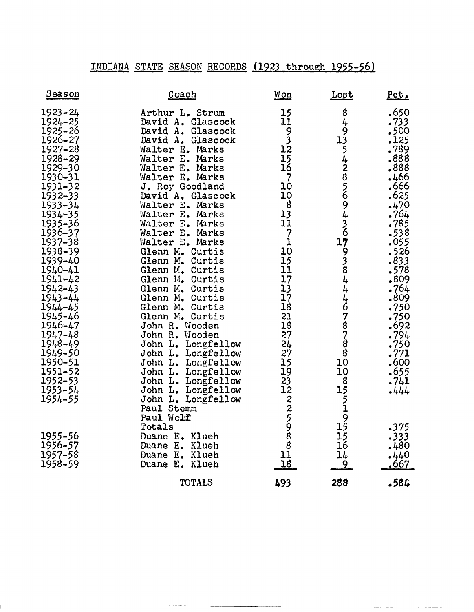## INDIANA STATE SEASON RECORDS (1923 through 1955-56)

|                                                                                                                                                                                                                                                                                                                                                                                                                            |                   |                                                                                                                                                                                                                                                                                                                                                                                                                                                                                                                                                                                                                                                      |                                                        |                                                                                                                                                                                                                                                                                        | INDIANA STATE SEASON RECORDS (1923 through 1955-56)                                                                         |                                                                                                                                                                                                                                                                                      |
|----------------------------------------------------------------------------------------------------------------------------------------------------------------------------------------------------------------------------------------------------------------------------------------------------------------------------------------------------------------------------------------------------------------------------|-------------------|------------------------------------------------------------------------------------------------------------------------------------------------------------------------------------------------------------------------------------------------------------------------------------------------------------------------------------------------------------------------------------------------------------------------------------------------------------------------------------------------------------------------------------------------------------------------------------------------------------------------------------------------------|--------------------------------------------------------|----------------------------------------------------------------------------------------------------------------------------------------------------------------------------------------------------------------------------------------------------------------------------------------|-----------------------------------------------------------------------------------------------------------------------------|--------------------------------------------------------------------------------------------------------------------------------------------------------------------------------------------------------------------------------------------------------------------------------------|
| Season                                                                                                                                                                                                                                                                                                                                                                                                                     |                   | Coach                                                                                                                                                                                                                                                                                                                                                                                                                                                                                                                                                                                                                                                |                                                        | Won                                                                                                                                                                                                                                                                                    | <u>Lost</u>                                                                                                                 | Pct.                                                                                                                                                                                                                                                                                 |
| $1923 - 24$<br>$1924 - 25$<br>1925-26<br>1926-27<br>$1927 - 28$<br>1928-29<br>1929-30<br>1930-31<br>1931-32<br>$1932 - 33$<br>1933-34<br>1934-35<br>1935-36<br>1936-37<br>1937-38<br>1938-39<br>1939-40<br>1940-41<br>$1941 - 42$<br>$1942 - 43$<br>$1943 - 44$<br>1944-45<br>$1945 - 46$<br>$1946 - 47$<br>$1947 - 48$<br>1948-49<br>1949-50<br>1950-51<br>1951-52<br>1952-53<br>1953-54<br>1954-55<br>1955-56<br>1956-57 | John L.<br>Totals | Arthur L. Strum<br>David A. Glascock<br>David A. Glascock<br>David A. Glascock<br>Walter E. Marks<br>Walter E. Marks<br>Walter E. Marks<br>Walter E. Marks<br>J. Roy Goodland<br>David A. Glascock<br>Walter E. Marks<br>Walter E. Marks<br>Walter E. Marks<br>Walter E. Marks<br>Walter E. Marks<br>Glenn M. Curtis<br>Glenn M. Curtis<br>Glenn M. Curtis<br>Glenn M. Curtis<br>Glenn M. Curtis<br>Glenn M. Curtis<br>Glenn M. Curtis<br>Glenn M. Curtis<br>John R. Wooden<br>John R. Wooden<br>John L. Longfellow<br>John L. Longfellow<br>John L. Longfellow<br>John L. Longfellow<br>Paul Stemm<br>Paul Wolf<br>Duane E. Klueh<br>Duane E. Klueh | John L. Longfellow<br>Longfellow<br>John L. Longfellow | 15<br>11<br>$9$<br>$3$<br>$12$<br>$\frac{15}{16}$<br>$\overline{7}$<br>10<br>10<br>$\boldsymbol{8}$<br>$\frac{13}{11}$<br>$\begin{bmatrix} 7 \\ 1 \\ 10 \end{bmatrix}$<br>$\frac{15}{11}$<br>17<br>$\frac{13}{17}$<br>18<br>21<br>18<br>27<br>24<br>27<br>15<br>19<br>23<br>1222598811 | 8<br>$49$<br>$13$<br>542856943679384<br>4<br>4678788<br>10<br>10<br>8<br>15<br>5<br>19<br>19<br>15<br>15 <sub>1</sub><br>16 | .650<br>.733<br>.500<br>.125<br>.789<br>.888<br>.888<br>.466<br>.666<br>.625<br>.470<br>.764<br>.785<br>.538<br>.055<br>.526<br>.833<br>.578<br>.809<br>.764<br>.809<br>.750<br>.750<br>.692<br>$.794$<br>$.750$<br>$.771$<br>,600<br>.655<br>.741<br>$-444$<br>.375<br>.333<br>.480 |
| 1957-58<br>1958-59                                                                                                                                                                                                                                                                                                                                                                                                         |                   | Duane E. Klueh<br>Duane E. Klueh                                                                                                                                                                                                                                                                                                                                                                                                                                                                                                                                                                                                                     |                                                        | 18                                                                                                                                                                                                                                                                                     | 14<br><u>9.</u>                                                                                                             | $-440$<br><u>.667</u>                                                                                                                                                                                                                                                                |
|                                                                                                                                                                                                                                                                                                                                                                                                                            |                   | TOTALS                                                                                                                                                                                                                                                                                                                                                                                                                                                                                                                                                                                                                                               |                                                        | 493                                                                                                                                                                                                                                                                                    | 288                                                                                                                         | .584                                                                                                                                                                                                                                                                                 |